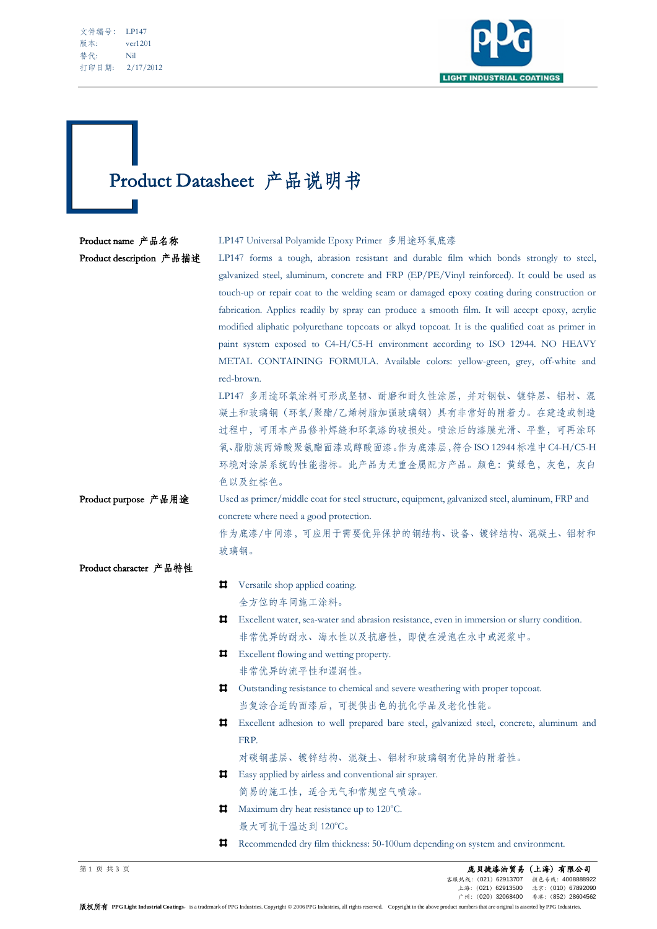文件编号: LP147 版本: ver1201 替代: Nil 打印日期: 2/17/2012

j



## Product Datasheet 产品说明书

## Product name 产品名称 LP147 Universal Polyamide Epoxy Primer 多用途环氧底漆 Product description 产品描述 LP147 forms a tough, abrasion resistant and durable film which bonds strongly to steel, galvanized steel, aluminum, concrete and FRP (EP/PE/Vinyl reinforced). It could be used as touch-up or repair coat to the welding seam or damaged epoxy coating during construction or fabrication. Applies readily by spray can produce a smooth film. It will accept epoxy, acrylic modified aliphatic polyurethane topcoats or alkyd topcoat. It is the qualified coat as primer in paint system exposed to C4-H/C5-H environment according to ISO 12944. NO HEAVY METAL CONTAINING FORMULA. Available colors: yellow-green, grey, off-white and red-brown. LP147 多用途环氧涂料可形成坚韧、耐磨和耐久性涂层,并对钢铁、镀锌层、铝材、混 凝土和玻璃钢(环氧/聚酯/乙烯树脂加强玻璃钢)具有非常好的附着力。在建造或制造 过程中,可用本产品修补焊缝和环氧漆的破损处。喷涂后的漆膜光滑、平整,可再涂环 氧、脂肪族丙烯酸聚氨酯面漆或醇酸面漆。作为底漆层,符合ISO 12944标准中C4-H/C5-H 环境对涂层系统的性能指标。此产品为无重金属配方产品。颜色:黄绿色,灰色,灰白 色以及红棕色。 Product purpose 产品用途 Used as primer/middle coat for steel structure, equipment, galvanized steel, aluminum, FRP and concrete where need a good protection. 作为底漆/中间漆,可应用于需要优异保护的钢结构、设备、镀锌结构、混凝土、铝材和 玻璃钢。 Product character 产品特性 **U** Versatile shop applied coating. 全方位的车间施工涂料。 Excellent water, sea-water and abrasion resistance, even in immersion or slurry condition. 非常优异的耐水、海水性以及抗磨性,即使在浸泡在水中或泥浆中。 **Excellent flowing and wetting property.** 非常优异的流平性和湿润性。 Outstanding resistance to chemical and severe weathering with proper topcoat. 当复涂合适的面漆后,可提供出色的抗化学品及老化性能。 Excellent adhesion to well prepared bare steel, galvanized steel, concrete, aluminum and FRP. 对碳钢基层、镀锌结构、混凝土、铝材和玻璃钢有优异的附着性。 Easy applied by airless and conventional air sprayer. 简易的施工性,适合无气和常规空气喷涂。  $\Box$  Maximum dry heat resistance up to 120 $\degree$ C. 最大可抗干温达到 120°C。 Recommended dry film thickness: 50-100um depending on system and environment.

第 1 页 共 3 页 庞贝捷漆油贸易(上海)有限公司 客服热线:(021)62913707 上海:(021)62913500 北京:(010)67892090 广州:(020)32068400 香港:(852)28604562

**版权所有 PPG Light Industrial Coatings**, is a trademark of PPG Industries. Copyright © 2006 PPG Industries, all rights reserved. Copyright in the above product numbers that are original is asserted by PPG Industries.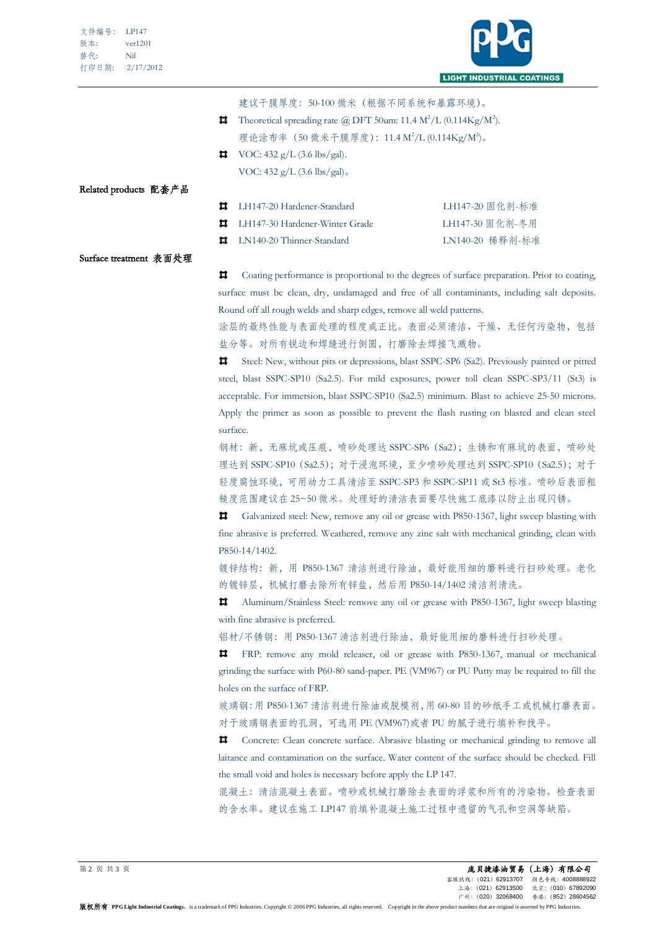

|                        | 建议干膜厚度:50-100 微米(根据不同系统和暴露环境)。                                                                   |                 |  |
|------------------------|--------------------------------------------------------------------------------------------------|-----------------|--|
| ᄇ                      | Theoretical spreading rate @ DFT 50um: 11.4 $\mathrm{M}^2/\mathrm{L}$ (0.114Kg/M <sup>2</sup> ). |                 |  |
|                        | 理论涂布率 (50 微米干膜厚度): 11.4 M <sup>2</sup> /L (0.114Kg/M <sup>2</sup> )。                             |                 |  |
| ᄇ                      | VOC: 432 g/L (3.6 lbs/gal).                                                                      |                 |  |
|                        | VOC: $432 g/L (3.6 \text{ lbs/gal})$ .                                                           |                 |  |
| Related products 配套产品  |                                                                                                  |                 |  |
| Ħ                      | LH147-20 Hardener-Standard                                                                       | LH147-20 固化剂-标准 |  |
| Ħ                      | LH147-30 Hardener-Winter Grade                                                                   | LH147-30 固化剂-冬用 |  |
| Ħ                      | LN140-20 Thinner-Standard                                                                        | LN140-20 稀释剂-标准 |  |
| Surface treatment 表面处理 |                                                                                                  |                 |  |

ᄇ Coating performance is proportional to the degrees of surface preparation. Prior to coating, surface must be clean, dry, undamaged and free of all contaminants, including salt deposits. Round off all rough welds and sharp edges, remove all weld patterns.

涂层的最终性能与表面处理的程度成正比。表面必须清洁、干燥、无任何污染物,包括 盐分等。对所有锐边和焊缝进行倒圆,打磨除去焊接飞溅物。

**□** Steel: New, without pits or depressions, blast SSPC-SP6 (Sa2). Previously painted or pitted steel, blast SSPC-SP10 (Sa2.5). For mild exposures, power toll clean SSPC-SP3/11 (St3) is acceptable. For immersion, blast SSPC-SP10 (Sa2.5) minimum. Blast to achieve 25-50 microns. Apply the primer as soon as possible to prevent the flash rusting on blasted and clean steel surface.

钢材:新,无麻坑或压痕,喷砂处理达 SSPC-SP6(Sa2);生锈和有麻坑的表面,喷砂处 理达到 SSPC-SP10 (Sa2.5);对于浸泡环境,至少喷砂处理达到 SSPC-SP10 (Sa2.5);对于 轻度腐蚀环境,可用动力工具清洁至 SSPC-SP3 和 SSPC-SP11 或 St3 标准。喷砂后表面粗 糙度范围建议在 25~50 微米。处理好的清洁表面要尽快施工底漆以防止出现闪锈。

Galvanized steel: New, remove any oil or grease with P850-1367, light sweep blasting with Ħ. fine abrasive is preferred. Weathered, remove any zinc salt with mechanical grinding, clean with P850-14/1402.

镀锌结构: 新, 用 P850-1367 清洁剂进行除油, 最好能用细的磨料进行扫砂处理。老化 的镀锌层,机械打磨去除所有锌盐,然后用 P850-14/1402 清洁剂清洗。

Aluminum/Stainless Steel: remove any oil or grease with P850-1367, light sweep blasting Ħ. with fine abrasive is preferred.

铝材/不锈钢: 用 P850-1367 清洁剂进行除油,最好能用细的磨料进行扫砂处理。

FRP: remove any mold releaser, oil or grease with P850-1367, manual or mechanical Ħ. grinding the surface with P60-80 sand-paper. PE (VM967) or PU Putty may be required to fill the holes on the surface of FRP.

玻璃钢:用 P850-1367 清洁剂进行除油或脱模剂,用 60-80 目的砂纸手工或机械打磨表面。 对于玻璃钢表面的孔洞,可选用 PE (VM967)或者 PU 的腻子进行填补和找平。

п Concrete: Clean concrete surface. Abrasive blasting or mechanical grinding to remove all laitance and contamination on the surface. Water content of the surface should be checked. Fill the small void and holes is necessary before apply the LP 147.

混凝土:清洁混凝土表面。喷砂或机械打磨除去表面的浮浆和所有的污染物。检查表面 的含水率。建议在施工 LP147 前填补混凝土施工过程中遗留的气孔和空洞等缺陷。